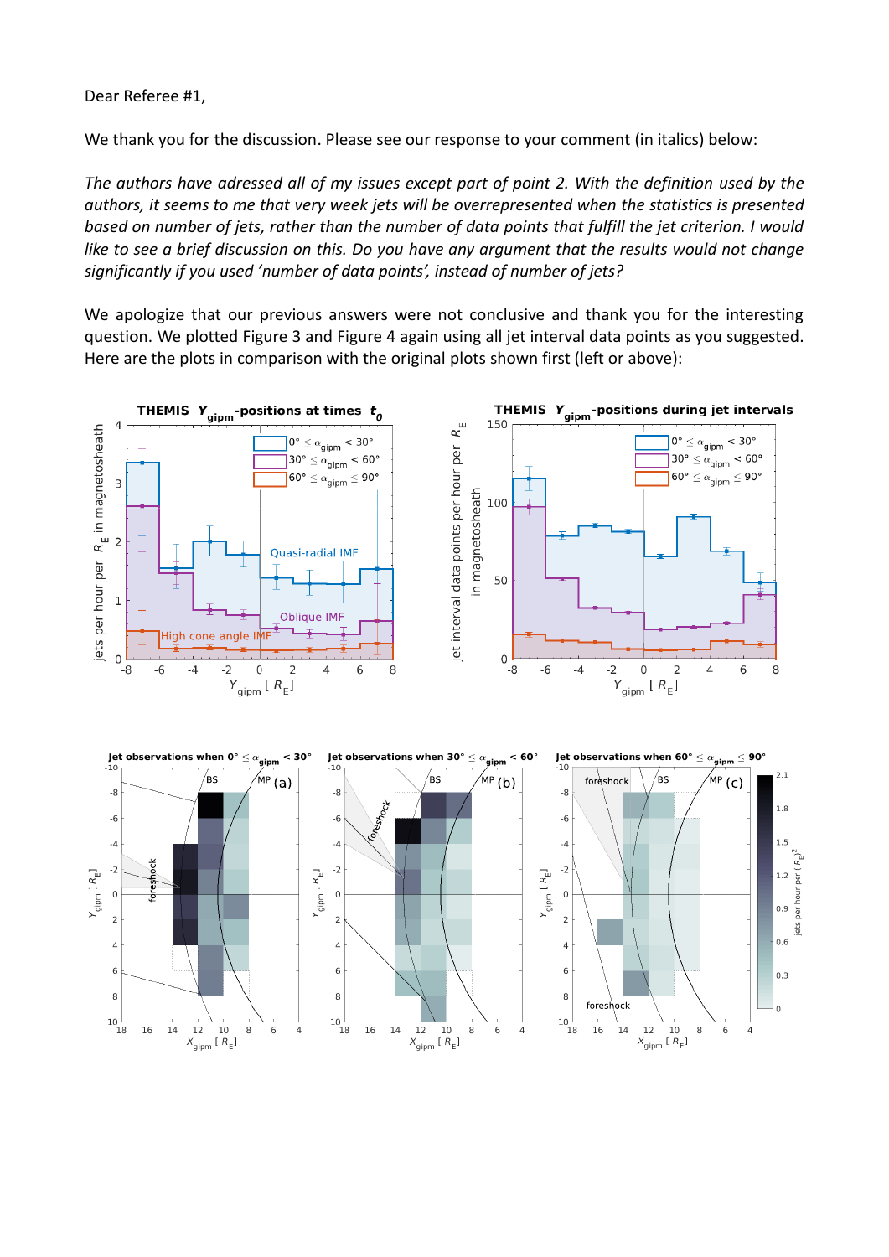Dear Referee #1,

We thank you for the discussion. Please see our response to your comment (in italics) below:

*The authors have adressed all of my issues except part of point 2. With the definition used by the authors, it seems to me that very week jets will be overrepresented when the statistics is presented based on number of jets, rather than the number of data points that fulfill the jet criterion. I would like to see a brief discussion on this. Do you have any argument that the results would not change significantly if you used 'number of data points', instead of number of jets?*

We apologize that our previous answers were not conclusive and thank you for the interesting question. We plotted Figure 3 and Figure 4 again using all jet interval data points as you suggested. Here are the plots in comparison with the original plots shown first (left or above):